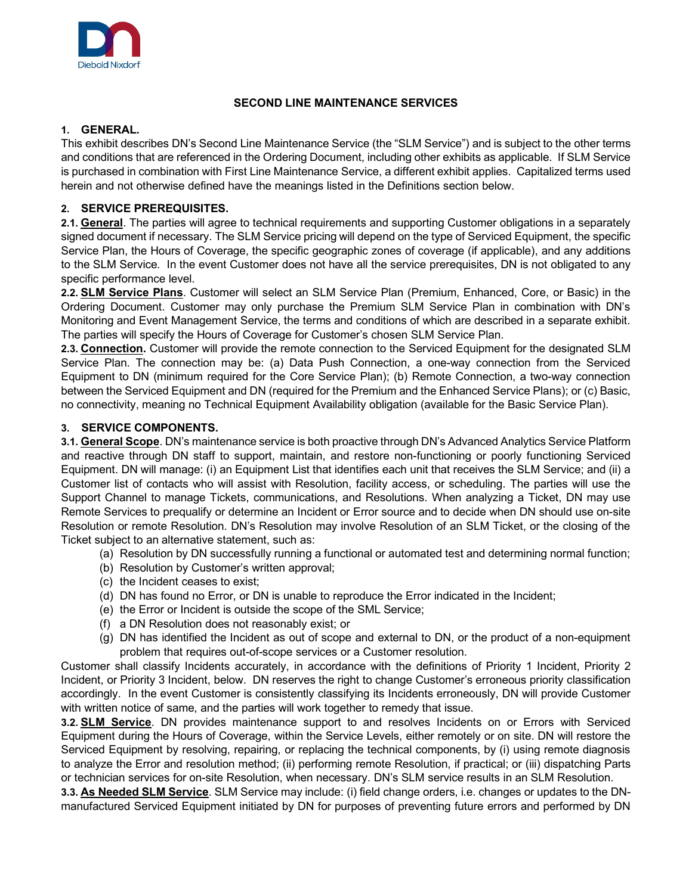

## **SECOND LINE MAINTENANCE SERVICES**

## **1. GENERAL.**

This exhibit describes DN's Second Line Maintenance Service (the "SLM Service") and is subject to the other terms and conditions that are referenced in the Ordering Document, including other exhibits as applicable. If SLM Service is purchased in combination with First Line Maintenance Service, a different exhibit applies. Capitalized terms used herein and not otherwise defined have the meanings listed in the Definitions section below.

# **2. SERVICE PREREQUISITES.**

**2.1. General**. The parties will agree to technical requirements and supporting Customer obligations in a separately signed document if necessary. The SLM Service pricing will depend on the type of Serviced Equipment, the specific Service Plan, the Hours of Coverage, the specific geographic zones of coverage (if applicable), and any additions to the SLM Service. In the event Customer does not have all the service prerequisites, DN is not obligated to any specific performance level.

**2.2. SLM Service Plans**. Customer will select an SLM Service Plan (Premium, Enhanced, Core, or Basic) in the Ordering Document. Customer may only purchase the Premium SLM Service Plan in combination with DN's Monitoring and Event Management Service, the terms and conditions of which are described in a separate exhibit. The parties will specify the Hours of Coverage for Customer's chosen SLM Service Plan.

**2.3. Connection.** Customer will provide the remote connection to the Serviced Equipment for the designated SLM Service Plan. The connection may be: (a) Data Push Connection, a one-way connection from the Serviced Equipment to DN (minimum required for the Core Service Plan); (b) Remote Connection, a two-way connection between the Serviced Equipment and DN (required for the Premium and the Enhanced Service Plans); or (c) Basic, no connectivity, meaning no Technical Equipment Availability obligation (available for the Basic Service Plan).

## **3. SERVICE COMPONENTS.**

**3.1. General Scope**. DN's maintenance service is both proactive through DN's Advanced Analytics Service Platform and reactive through DN staff to support, maintain, and restore non-functioning or poorly functioning Serviced Equipment. DN will manage: (i) an Equipment List that identifies each unit that receives the SLM Service; and (ii) a Customer list of contacts who will assist with Resolution, facility access, or scheduling. The parties will use the Support Channel to manage Tickets, communications, and Resolutions. When analyzing a Ticket, DN may use Remote Services to prequalify or determine an Incident or Error source and to decide when DN should use on-site Resolution or remote Resolution. DN's Resolution may involve Resolution of an SLM Ticket, or the closing of the Ticket subject to an alternative statement, such as:

- (a) Resolution by DN successfully running a functional or automated test and determining normal function;
- (b) Resolution by Customer's written approval;
- (c) the Incident ceases to exist;
- (d) DN has found no Error, or DN is unable to reproduce the Error indicated in the Incident;
- (e) the Error or Incident is outside the scope of the SML Service;
- (f) a DN Resolution does not reasonably exist; or
- (g) DN has identified the Incident as out of scope and external to DN, or the product of a non-equipment problem that requires out-of-scope services or a Customer resolution.

Customer shall classify Incidents accurately, in accordance with the definitions of Priority 1 Incident, Priority 2 Incident, or Priority 3 Incident, below. DN reserves the right to change Customer's erroneous priority classification accordingly. In the event Customer is consistently classifying its Incidents erroneously, DN will provide Customer with written notice of same, and the parties will work together to remedy that issue.

**3.2. SLM Service**. DN provides maintenance support to and resolves Incidents on or Errors with Serviced Equipment during the Hours of Coverage, within the Service Levels, either remotely or on site. DN will restore the Serviced Equipment by resolving, repairing, or replacing the technical components, by (i) using remote diagnosis to analyze the Error and resolution method; (ii) performing remote Resolution, if practical; or (iii) dispatching Parts or technician services for on-site Resolution, when necessary. DN's SLM service results in an SLM Resolution.

**3.3. As Needed SLM Service**. SLM Service may include: (i) field change orders, i.e. changes or updates to the DNmanufactured Serviced Equipment initiated by DN for purposes of preventing future errors and performed by DN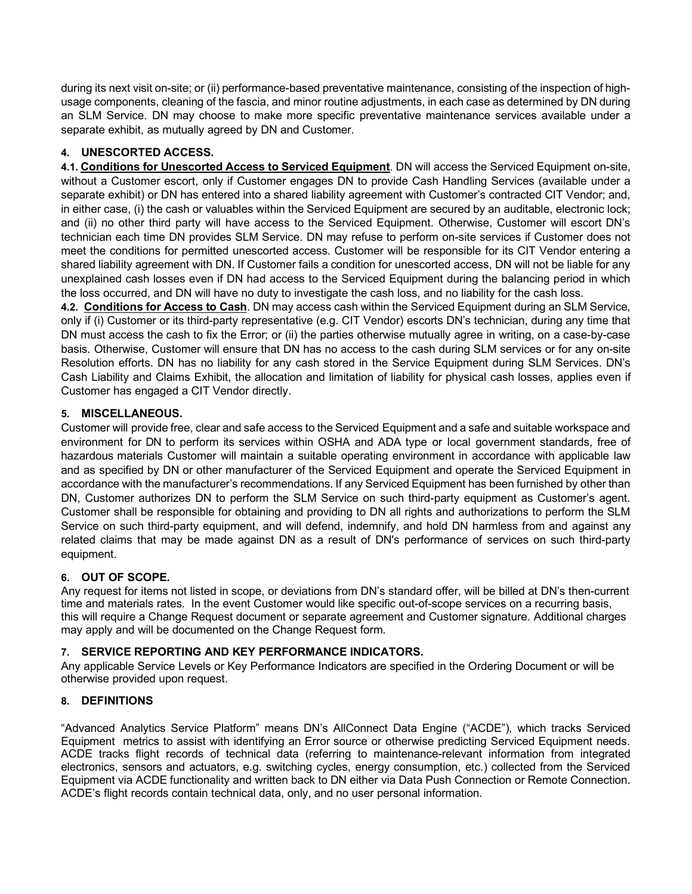during its next visit on-site; or (ii) performance-based preventative maintenance, consisting of the inspection of highusage components, cleaning of the fascia, and minor routine adjustments, in each case as determined by DN during an SLM Service. DN may choose to make more specific preventative maintenance services available under a separate exhibit, as mutually agreed by DN and Customer.

# **4. UNESCORTED ACCESS.**

**4.1. Conditions for Unescorted Access to Serviced Equipment**. DN will access the Serviced Equipment on-site, without a Customer escort, only if Customer engages DN to provide Cash Handling Services (available under a separate exhibit) or DN has entered into a shared liability agreement with Customer's contracted CIT Vendor; and, in either case, (i) the cash or valuables within the Serviced Equipment are secured by an auditable, electronic lock; and (ii) no other third party will have access to the Serviced Equipment. Otherwise, Customer will escort DN's technician each time DN provides SLM Service. DN may refuse to perform on-site services if Customer does not meet the conditions for permitted unescorted access. Customer will be responsible for its CIT Vendor entering a shared liability agreement with DN. If Customer fails a condition for unescorted access, DN will not be liable for any unexplained cash losses even if DN had access to the Serviced Equipment during the balancing period in which the loss occurred, and DN will have no duty to investigate the cash loss, and no liability for the cash loss.

**4.2. Conditions for Access to Cash**. DN may access cash within the Serviced Equipment during an SLM Service, only if (i) Customer or its third-party representative (e.g. CIT Vendor) escorts DN's technician, during any time that DN must access the cash to fix the Error; or (ii) the parties otherwise mutually agree in writing, on a case-by-case basis. Otherwise, Customer will ensure that DN has no access to the cash during SLM services or for any on-site Resolution efforts. DN has no liability for any cash stored in the Service Equipment during SLM Services. DN's Cash Liability and Claims Exhibit, the allocation and limitation of liability for physical cash losses, applies even if Customer has engaged a CIT Vendor directly.

## **5. MISCELLANEOUS.**

Customer will provide free, clear and safe access to the Serviced Equipment and a safe and suitable workspace and environment for DN to perform its services within OSHA and ADA type or local government standards, free of hazardous materials Customer will maintain a suitable operating environment in accordance with applicable law and as specified by DN or other manufacturer of the Serviced Equipment and operate the Serviced Equipment in accordance with the manufacturer's recommendations. If any Serviced Equipment has been furnished by other than DN, Customer authorizes DN to perform the SLM Service on such third-party equipment as Customer's agent. Customer shall be responsible for obtaining and providing to DN all rights and authorizations to perform the SLM Service on such third-party equipment, and will defend, indemnify, and hold DN harmless from and against any related claims that may be made against DN as a result of DN's performance of services on such third-party equipment.

# **6. OUT OF SCOPE.**

Any request for items not listed in scope, or deviations from DN's standard offer, will be billed at DN's then-current time and materials rates. In the event Customer would like specific out-of-scope services on a recurring basis, this will require a Change Request document or separate agreement and Customer signature. Additional charges may apply and will be documented on the Change Request form.

### **7. SERVICE REPORTING AND KEY PERFORMANCE INDICATORS.**

Any applicable Service Levels or Key Performance Indicators are specified in the Ordering Document or will be otherwise provided upon request.

### **8. DEFINITIONS**

"Advanced Analytics Service Platform" means DN's AllConnect Data Engine ("ACDE"), which tracks Serviced Equipment metrics to assist with identifying an Error source or otherwise predicting Serviced Equipment needs. ACDE tracks flight records of technical data (referring to maintenance-relevant information from integrated electronics, sensors and actuators, e.g. switching cycles, energy consumption, etc.) collected from the Serviced Equipment via ACDE functionality and written back to DN either via Data Push Connection or Remote Connection. ACDE's flight records contain technical data, only, and no user personal information.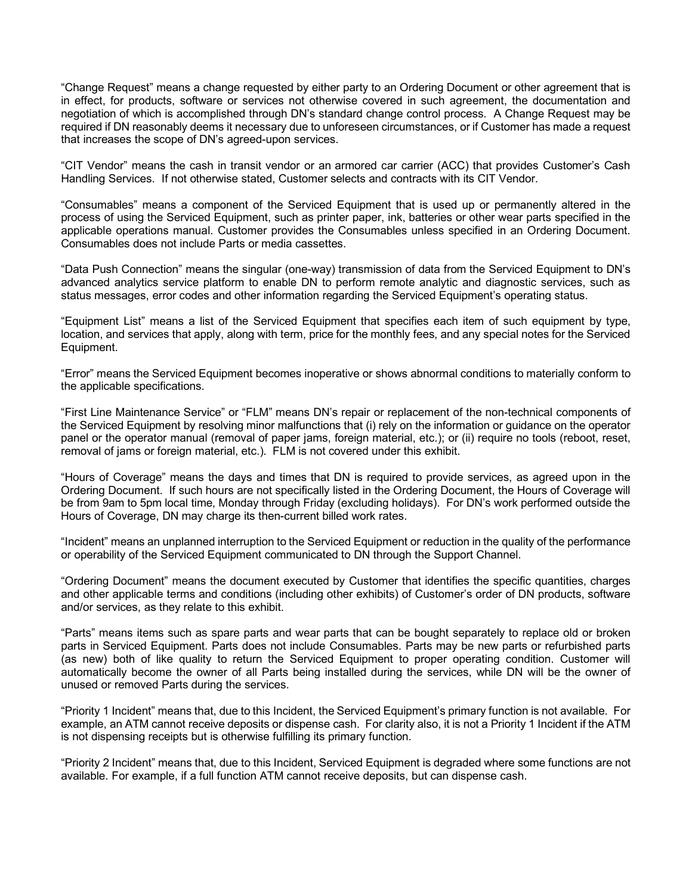"Change Request" means a change requested by either party to an Ordering Document or other agreement that is in effect, for products, software or services not otherwise covered in such agreement, the documentation and negotiation of which is accomplished through DN's standard change control process. A Change Request may be required if DN reasonably deems it necessary due to unforeseen circumstances, or if Customer has made a request that increases the scope of DN's agreed-upon services.

"CIT Vendor" means the cash in transit vendor or an armored car carrier (ACC) that provides Customer's Cash Handling Services. If not otherwise stated, Customer selects and contracts with its CIT Vendor.

"Consumables" means a component of the Serviced Equipment that is used up or permanently altered in the process of using the Serviced Equipment, such as printer paper, ink, batteries or other wear parts specified in the applicable operations manual. Customer provides the Consumables unless specified in an Ordering Document. Consumables does not include Parts or media cassettes.

"Data Push Connection" means the singular (one-way) transmission of data from the Serviced Equipment to DN's advanced analytics service platform to enable DN to perform remote analytic and diagnostic services, such as status messages, error codes and other information regarding the Serviced Equipment's operating status.

"Equipment List" means a list of the Serviced Equipment that specifies each item of such equipment by type, location, and services that apply, along with term, price for the monthly fees, and any special notes for the Serviced Equipment.

"Error" means the Serviced Equipment becomes inoperative or shows abnormal conditions to materially conform to the applicable specifications.

"First Line Maintenance Service" or "FLM" means DN's repair or replacement of the non-technical components of the Serviced Equipment by resolving minor malfunctions that (i) rely on the information or guidance on the operator panel or the operator manual (removal of paper jams, foreign material, etc.); or (ii) require no tools (reboot, reset, removal of jams or foreign material, etc.). FLM is not covered under this exhibit.

"Hours of Coverage" means the days and times that DN is required to provide services, as agreed upon in the Ordering Document. If such hours are not specifically listed in the Ordering Document, the Hours of Coverage will be from 9am to 5pm local time, Monday through Friday (excluding holidays). For DN's work performed outside the Hours of Coverage, DN may charge its then-current billed work rates.

"Incident" means an unplanned interruption to the Serviced Equipment or reduction in the quality of the performance or operability of the Serviced Equipment communicated to DN through the Support Channel.

"Ordering Document" means the document executed by Customer that identifies the specific quantities, charges and other applicable terms and conditions (including other exhibits) of Customer's order of DN products, software and/or services, as they relate to this exhibit.

"Parts" means items such as spare parts and wear parts that can be bought separately to replace old or broken parts in Serviced Equipment. Parts does not include Consumables. Parts may be new parts or refurbished parts (as new) both of like quality to return the Serviced Equipment to proper operating condition. Customer will automatically become the owner of all Parts being installed during the services, while DN will be the owner of unused or removed Parts during the services.

"Priority 1 Incident" means that, due to this Incident, the Serviced Equipment's primary function is not available. For example, an ATM cannot receive deposits or dispense cash. For clarity also, it is not a Priority 1 Incident if the ATM is not dispensing receipts but is otherwise fulfilling its primary function.

"Priority 2 Incident" means that, due to this Incident, Serviced Equipment is degraded where some functions are not available. For example, if a full function ATM cannot receive deposits, but can dispense cash.